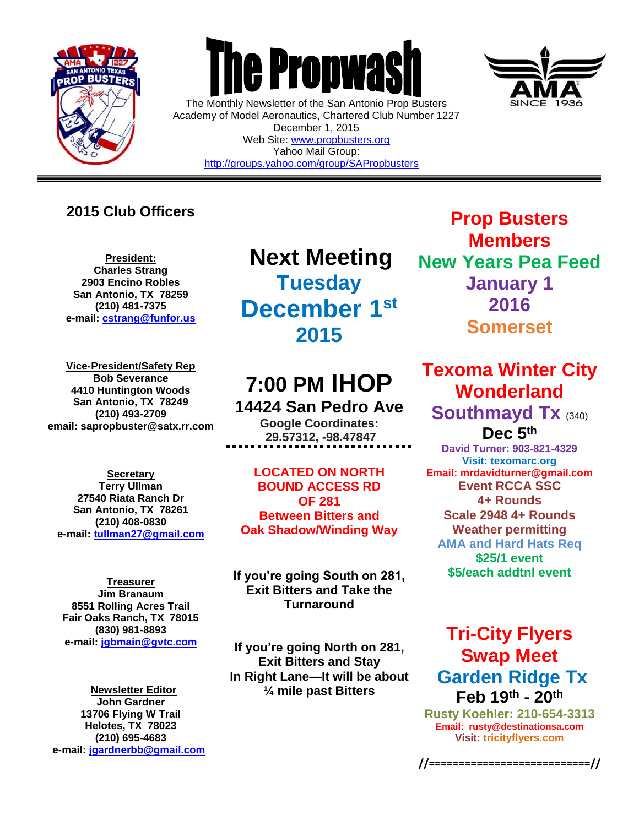

 $\overline{a}$ 



The Monthly Newsletter of the San Antonio Prop Busters Academy of Model Aeronautics, Chartered Club Number 1227 December 1, 2015 Web Site: [www.propbusters.org](http://www.propbusters.org/) Yahoo Mail Group: <http://groups.yahoo.com/group/SAPropbusters>

### **2015 Club Officers**

**President: Charles Strang 2903 Encino Robles San Antonio, TX 78259 (210) 481-7375 e-mail: [cstrang@funfor.us](mailto:cstrang@funfor.us)**

**Vice-President/Safety Rep Bob Severance 4410 Huntington Woods San Antonio, TX 78249 (210) 493-2709 email: sapropbuster@satx.rr.com**

**Secretary Terry Ullman 27540 Riata Ranch Dr San Antonio, TX 78261 (210) 408-0830 e-mail: [tullman27@gmail.com](mailto:tullman27@gmail.com)**

**Treasurer Jim Branaum 8551 Rolling Acres Trail Fair Oaks Ranch, TX 78015 (830) 981-8893 e-mail: [jgbmain@gvtc.com](mailto:jgbmain@gvtc.com)**

**Newsletter Editor John Gardner 13706 Flying W Trail Helotes, TX 78023 (210) 695-4683 e-mail: [jgardnerbb@gmail.com](mailto:jgardnerbb@gmail.com)**

**Next Meeting Tuesday December 1st 2015**

# **7:00 PM IHOP 14424 San Pedro Ave**

**Google Coordinates: 29.57312, -98.47847**

**LOCATED ON NORTH BOUND ACCESS RD OF 281 Between Bitters and Oak Shadow/Winding Way**

**If you're going South on 281, Exit Bitters and Take the Turnaround**

**If you're going North on 281, Exit Bitters and Stay In Right Lane—It will be about ¼ mile past Bitters**



**Prop Busters Members New Years Pea Feed January 1 2016 Somerset**

**Texoma Winter City Wonderland Southmayd Tx** (340) **Dec 5 th**

**David Turner: 903-821-4329 Visit: texomarc.org Email: mrdavidturner@gmail.com Event RCCA SSC 4+ Rounds Scale 2948 4+ Rounds Weather permitting AMA and Hard Hats Req \$25/1 event \$5/each addtnl event**

## **Tri-City Flyers Swap Meet Garden Ridge Tx Feb 19th - 20th**

**Rusty Koehler: 210-654-3313 Email: rusty@destinationsa.com Visit: [tricityflyers.com](http://www.gamarc.org/)**

**//===========================//**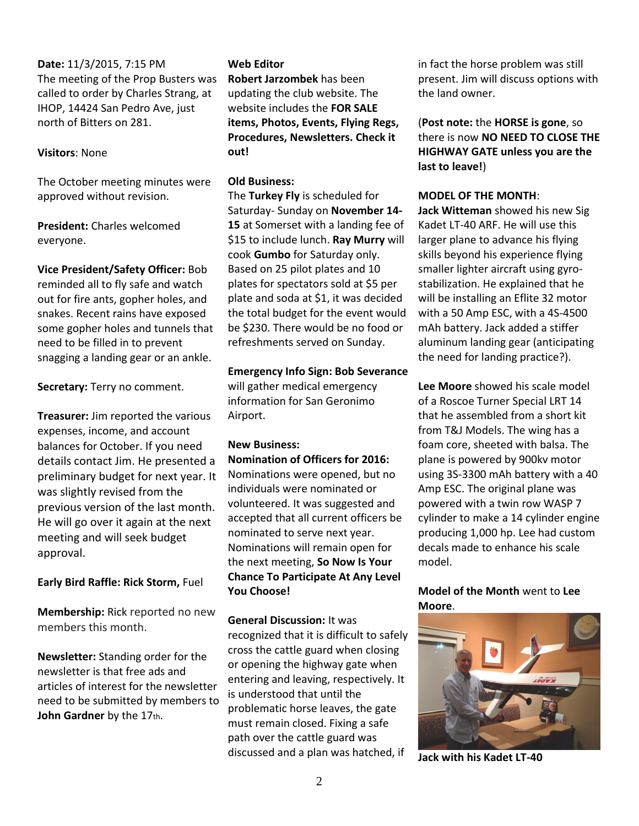**Date:** 11/3/2015, 7:15 PM The meeting of the Prop Busters was called to order by Charles Strang, at IHOP, 14424 San Pedro Ave, just north of Bitters on 281.

#### **Visitors**: None

The October meeting minutes were approved without revision.

**President:** Charles welcomed everyone.

**Vice President/Safety Officer:** Bob reminded all to fly safe and watch out for fire ants, gopher holes, and snakes. Recent rains have exposed some gopher holes and tunnels that need to be filled in to prevent snagging a landing gear or an ankle.

**Secretary:** Terry no comment.

**Treasurer:** Jim reported the various expenses, income, and account balances for October. If you need details contact Jim. He presented a preliminary budget for next year. It was slightly revised from the previous version of the last month. He will go over it again at the next meeting and will seek budget approval.

**Early Bird Raffle: Rick Storm,** Fuel

**Membership:** Rick reported no new members this month.

**Newsletter:** Standing order for the newsletter is that free ads and articles of interest for the newsletter need to be submitted by members to John Gardner by the 17th.

#### **Web Editor**

**Robert Jarzombek** has been updating the club website. The website includes the **FOR SALE items, Photos, Events, Flying Regs, Procedures, Newsletters. Check it out!** 

#### **Old Business:**

The **Turkey Fly** is scheduled for Saturday- Sunday on **November 14- 15** at Somerset with a landing fee of \$15 to include lunch. **Ray Murry** will cook **Gumbo** for Saturday only. Based on 25 pilot plates and 10 plates for spectators sold at \$5 per plate and soda at \$1, it was decided the total budget for the event would be \$230. There would be no food or refreshments served on Sunday.

#### **Emergency Info Sign: Bob Severance**

will gather medical emergency information for San Geronimo Airport.

#### **New Business: Nomination of Officers for 2016:**

Nominations were opened, but no individuals were nominated or volunteered. It was suggested and accepted that all current officers be nominated to serve next year. Nominations will remain open for the next meeting, **So Now Is Your Chance To Participate At Any Level You Choose!**

**General Discussion:** It was recognized that it is difficult to safely cross the cattle guard when closing or opening the highway gate when entering and leaving, respectively. It is understood that until the problematic horse leaves, the gate must remain closed. Fixing a safe path over the cattle guard was discussed and a plan was hatched, if

in fact the horse problem was still present. Jim will discuss options with the land owner.

(**Post note:** the **HORSE is gone**, so there is now **NO NEED TO CLOSE THE HIGHWAY GATE unless you are the last to leave!**)

#### **MODEL OF THE MONTH**:

**Jack Witteman** showed his new Sig Kadet LT-40 ARF. He will use this larger plane to advance his flying skills beyond his experience flying smaller lighter aircraft using gyrostabilization. He explained that he will be installing an Eflite 32 motor with a 50 Amp ESC, with a 4S-4500 mAh battery. Jack added a stiffer aluminum landing gear (anticipating the need for landing practice?).

**Lee Moore** showed his scale model of a Roscoe Turner Special LRT 14 that he assembled from a short kit from T&J Models. The wing has a foam core, sheeted with balsa. The plane is powered by 900kv motor using 3S-3300 mAh battery with a 40 Amp ESC. The original plane was powered with a twin row WASP 7 cylinder to make a 14 cylinder engine producing 1,000 hp. Lee had custom decals made to enhance his scale model.

#### **Model of the Month** went to **Lee Moore**.



**Jack with his Kadet LT-40**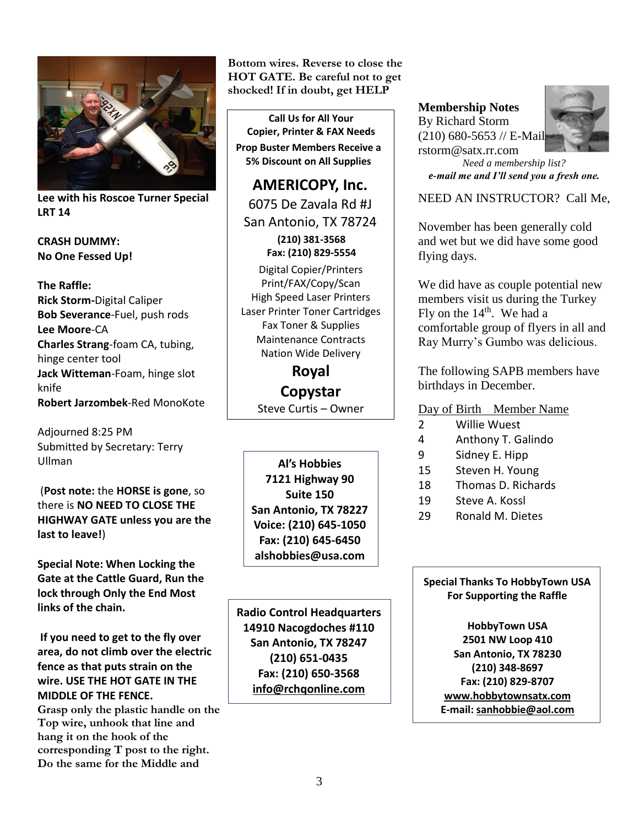

**Lee with his Roscoe Turner Special LRT 14**

**CRASH DUMMY: No One Fessed Up!**

**The Raffle: Rick Storm-**Digital Caliper **Bob Severance**-Fuel, push rods **Lee Moore**-CA **Charles Strang**-foam CA, tubing, hinge center tool **Jack Witteman**-Foam, hinge slot knife **Robert Jarzombek**-Red MonoKote

Adjourned 8:25 PM Submitted by Secretary: Terry Ullman

(**Post note:** the **HORSE is gone**, so there is **NO NEED TO CLOSE THE HIGHWAY GATE unless you are the last to leave!**)

**Special Note: When Locking the Gate at the Cattle Guard, Run the lock through Only the End Most links of the chain.** 

**If you need to get to the fly over area, do not climb over the electric fence as that puts strain on the wire. USE THE HOT GATE IN THE MIDDLE OF THE FENCE.** 

**Grasp only the plastic handle on the Top wire, unhook that line and hang it on the hook of the corresponding T post to the right. Do the same for the Middle and** 

**Bottom wires. Reverse to close the HOT GATE. Be careful not to get shocked! If in doubt, get HELP**

**Call Us for All Your Copier, Printer & FAX Needs Prop Buster Members Receive a 5% Discount on All Supplies**

**AMERICOPY, Inc.** 6075 De Zavala Rd #J San Antonio, TX 78724 **(210) 381-3568 Fax: (210) 829-5554** Digital Copier/Printers

Print/FAX/Copy/Scan High Speed Laser Printers Laser Printer Toner Cartridges Fax Toner & Supplies Maintenance Contracts Nation Wide Delivery

> **Royal Copystar** Steve Curtis – Owner

**Al's Hobbies 7121 Highway 90 Suite 150 San Antonio, TX 78227 Voice: (210) 645-1050 Fax: (210) 645-6450 alshobbies@usa.com**

**Radio Control Headquarters 14910 Nacogdoches #110 San Antonio, TX 78247 (210) 651-0435 Fax: (210) 650-3568 [info@rchqonline.com](mailto:info@rchqonline.com)**

**Membership Notes** By Richard Storm (210) 680-5653 // E-Mail: rstorm@satx.rr.com



*Need a membership list? e-mail me and I'll send you a fresh one.*

NEED AN INSTRUCTOR? Call Me,

November has been generally cold and wet but we did have some good flying days.

We did have as couple potential new members visit us during the Turkey Fly on the  $14<sup>th</sup>$ . We had a comfortable group of flyers in all and Ray Murry's Gumbo was delicious.

The following SAPB members have birthdays in December.

Day of Birth Member Name

- 2 Willie Wuest
- 4 Anthony T. Galindo
- 9 Sidney E. Hipp
- 15 Steven H. Young
- 18 Thomas D. Richards
- 19 Steve A. Kossl
- 29 Ronald M. Dietes

**Special Thanks To HobbyTown USA For Supporting the Raffle**

**HobbyTown USA 2501 NW Loop 410 San Antonio, TX 78230 (210) 348-8697 Fax: (210) 829-8707 [www.hobbytownsatx.com](http://www.hobbytownsatx.com/) E-mail[: sanhobbie@aol.com](mailto:sanhobbie@aol.com)**